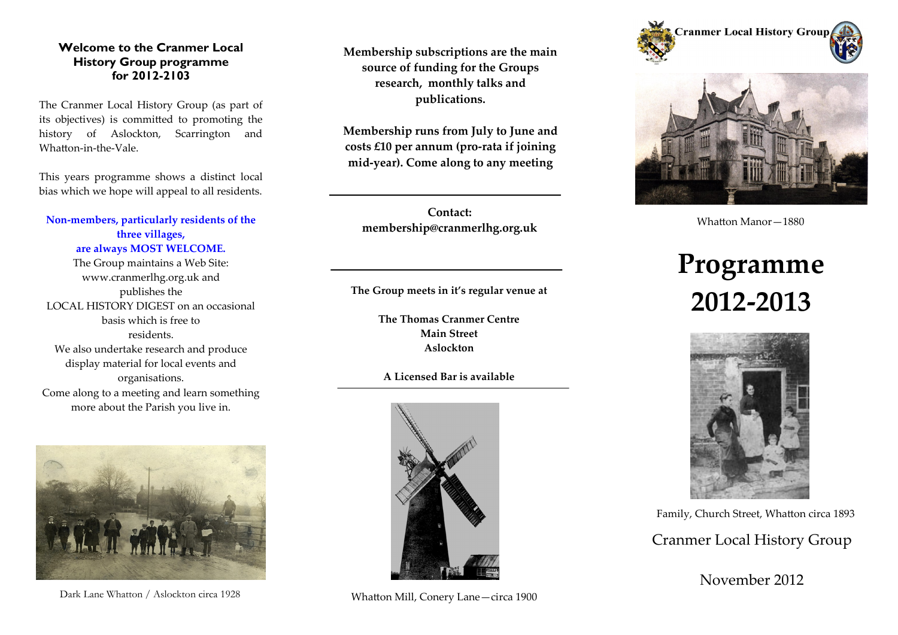## **Welcome to the Cranmer Local History Group programme for 2012-2103**

The Cranmer Local History Group (as part of its objectives) is committed to promoting the history of Aslockton, Scarrington and Whatton-in-the-Vale.

This years programme shows a distinct local bias which we hope will appeal to all residents.

## **Non-members, particularly residents of the three villages, are always MOST WELCOME.**

The Group maintains a Web Site: www.cranmerlhg.org.uk and publishes the LOCAL HISTORY DIGEST on an occasional basis which is free to residents. We also undertake research and produce display material for local events and organisations. Come along to a meeting and learn something more about the Parish you live in.



Dark Lane Whatton / Aslockton circa 1928

**Membership subscriptions are the main source of funding for the Groups research, monthly talks and publications.**

**Membership runs from July to June and costs £10 per annum (pro-rata if joining mid-year). Come along to any meeting** 

**Contact: membership@cranmerlhg.org.uk**

**The Group meets in it's regular venue at**

**The Thomas Cranmer Centre Main Street Aslockton**

**A Licensed Bar is available**



Whatton Mill, Conery Lane—circa 1900





Whatton Manor—1880

## **Programme 2012-2013**



Family, Church Street, Whatton circa 1893

Cranmer Local History Group

November 2012